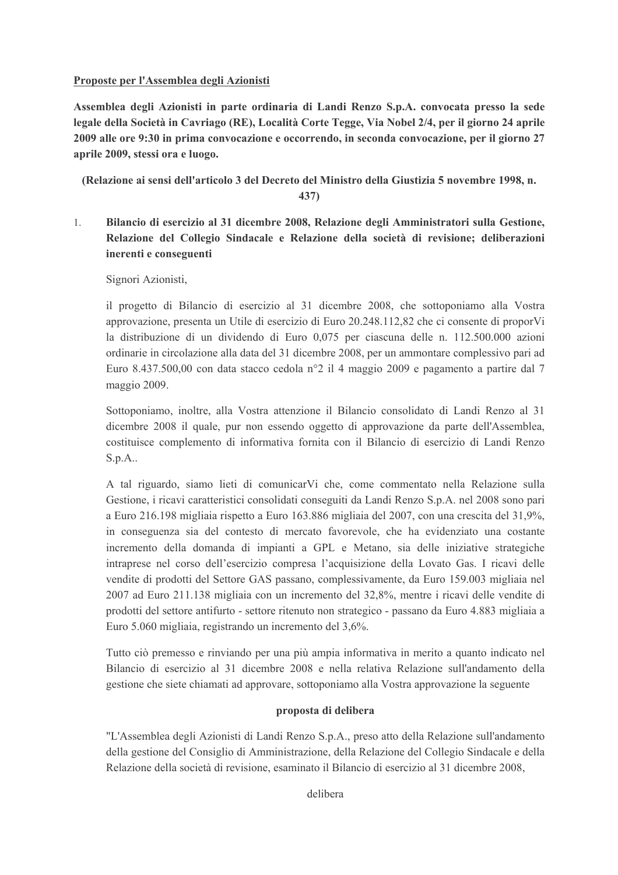## Proposte per l'Assemblea degli Azionisti

Assemblea degli Azionisti in parte ordinaria di Landi Renzo S.p.A. convocata presso la sede legale della Società in Cavriago (RE), Località Corte Tegge, Via Nobel 2/4, per il giorno 24 aprile 2009 alle ore 9:30 in prima convocazione e occorrendo, in seconda convocazione, per il giorno 27 aprile 2009, stessi ora e luogo.

(Relazione ai sensi dell'articolo 3 del Decreto del Ministro della Giustizia 5 novembre 1998, n.

 $437)$ 

 $1.$ Bilancio di esercizio al 31 dicembre 2008, Relazione degli Amministratori sulla Gestione, Relazione del Collegio Sindacale e Relazione della società di revisione; deliberazioni inerenti e conseguenti

Signori Azionisti,

il progetto di Bilancio di esercizio al 31 dicembre 2008, che sottoponiamo alla Vostra approvazione, presenta un Utile di esercizio di Euro 20.248.112,82 che ci consente di proporVi la distribuzione di un dividendo di Euro 0.075 per ciascuna delle n. 112.500.000 azioni ordinarie in circolazione alla data del 31 dicembre 2008, per un ammontare complessivo pari ad Euro 8.437.500,00 con data stacco cedola nº2 il 4 maggio 2009 e pagamento a partire dal 7 maggio 2009.

Sottoponiamo, inoltre, alla Vostra attenzione il Bilancio consolidato di Landi Renzo al 31 dicembre 2008 il quale, pur non essendo oggetto di approvazione da parte dell'Assemblea, costituisce complemento di informativa fornita con il Bilancio di esercizio di Landi Renzo  $S.p.A.$ 

A tal riguardo, siamo lieti di comunicarVi che, come commentato nella Relazione sulla Gestione, i ricavi caratteristici consolidati conseguiti da Landi Renzo S.p.A. nel 2008 sono pari a Euro 216.198 migliaia rispetto a Euro 163.886 migliaia del 2007, con una crescita del 31,9%, in conseguenza sia del contesto di mercato favorevole, che ha evidenziato una costante incremento della domanda di impianti a GPL e Metano, sia delle iniziative strategiche intraprese nel corso dell'esercizio compresa l'acquisizione della Lovato Gas. I ricavi delle vendite di prodotti del Settore GAS passano, complessivamente, da Euro 159.003 migliaia nel 2007 ad Euro 211.138 migliaia con un incremento del 32,8%, mentre i ricavi delle vendite di prodotti del settore antifurto - settore ritenuto non strategico - passano da Euro 4.883 migliaia a Euro 5.060 migliaia, registrando un incremento del 3,6%.

Tutto ciò premesso e rinviando per una più ampia informativa in merito a quanto indicato nel Bilancio di esercizio al 31 dicembre 2008 e nella relativa Relazione sull'andamento della gestione che siete chiamati ad approvare, sottoponiamo alla Vostra approvazione la seguente

## proposta di delibera

"L'Assemblea degli Azionisti di Landi Renzo S.p.A., preso atto della Relazione sull'andamento della gestione del Consiglio di Amministrazione, della Relazione del Collegio Sindacale e della Relazione della società di revisione, esaminato il Bilancio di esercizio al 31 dicembre 2008.

delibera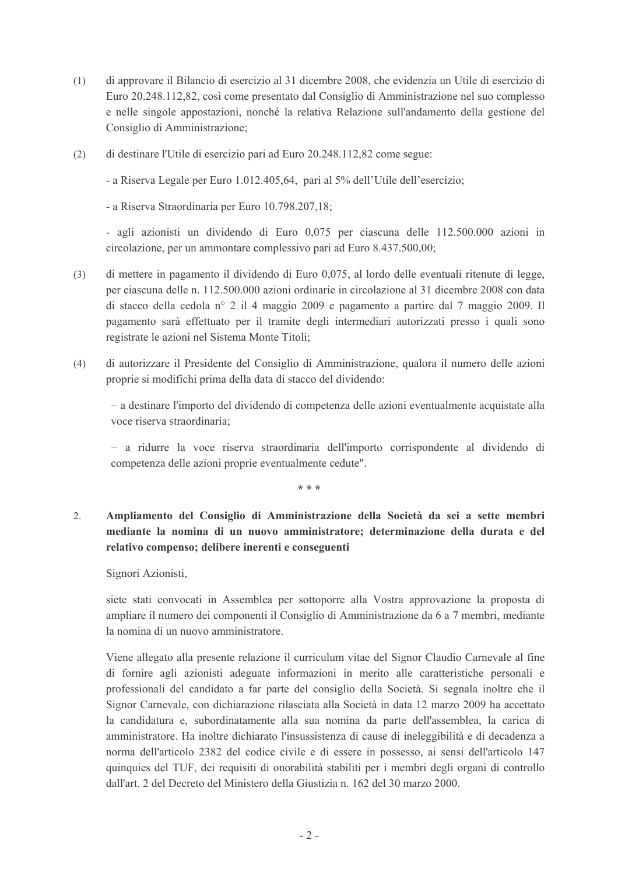- di approvare il Bilancio di esercizio al 31 dicembre 2008, che evidenzia un Utile di esercizio di  $(1)$ Euro 20.248.112,82, così come presentato dal Consiglio di Amministrazione nel suo complesso e nelle singole appostazioni, nonché la relativa Relazione sull'andamento della gestione del Consiglio di Amministrazione;
- di destinare l'Utile di esercizio pari ad Euro 20.248.112,82 come segue:  $(2)$

- a Riserva Legale per Euro 1.012.405.64, pari al 5% dell'Utile dell'esercizio;

- a Riserva Straordinaria per Euro 10.798.207,18;

- agli azionisti un dividendo di Euro 0,075 per ciascuna delle 112.500.000 azioni in circolazione, per un ammontare complessivo pari ad Euro 8.437.500.00;

- di mettere in pagamento il dividendo di Euro 0,075, al lordo delle eventuali ritenute di legge,  $(3)$ per ciascuna delle n. 112.500.000 azioni ordinarie in circolazione al 31 dicembre 2008 con data di stacco della cedola nº 2 il 4 maggio 2009 e pagamento a partire dal 7 maggio 2009. Il pagamento sarà effettuato per il tramite degli intermediari autorizzati presso i quali sono registrate le azioni nel Sistema Monte Titoli;
- di autorizzare il Presidente del Consiglio di Amministrazione, qualora il numero delle azioni  $(4)$ proprie si modifichi prima della data di stacco del dividendo:

- a destinare l'importo del dividendo di competenza delle azioni eventualmente acquistate alla voce riserva straordinaria;

- a ridurre la voce riserva straordinaria dell'importo corrispondente al dividendo di competenza delle azioni proprie eventualmente cedute".

\* \* \*

 $2.$ Ampliamento del Consiglio di Amministrazione della Società da sei a sette membri mediante la nomina di un nuovo amministratore; determinazione della durata e del relativo compenso; delibere inerenti e conseguenti

Signori Azionisti,

siete stati convocati in Assemblea per sottoporre alla Vostra approvazione la proposta di ampliare il numero dei componenti il Consiglio di Amministrazione da 6 a 7 membri, mediante la nomina di un nuovo amministratore.

Viene allegato alla presente relazione il curriculum vitae del Signor Claudio Carnevale al fine di fornire agli azionisti adeguate informazioni in merito alle caratteristiche personali e professionali del candidato a far parte del consiglio della Società. Si segnala inoltre che il Signor Carnevale, con dichiarazione rilasciata alla Società in data 12 marzo 2009 ha accettato la candidatura e, subordinatamente alla sua nomina da parte dell'assemblea, la carica di amministratore. Ha inoltre dichiarato l'insussistenza di cause di ineleggibilità e di decadenza a norma dell'articolo 2382 del codice civile e di essere in possesso, ai sensi dell'articolo 147 quinquies del TUF, dei requisiti di onorabilità stabiliti per i membri degli organi di controllo dall'art. 2 del Decreto del Ministero della Giustizia n. 162 del 30 marzo 2000.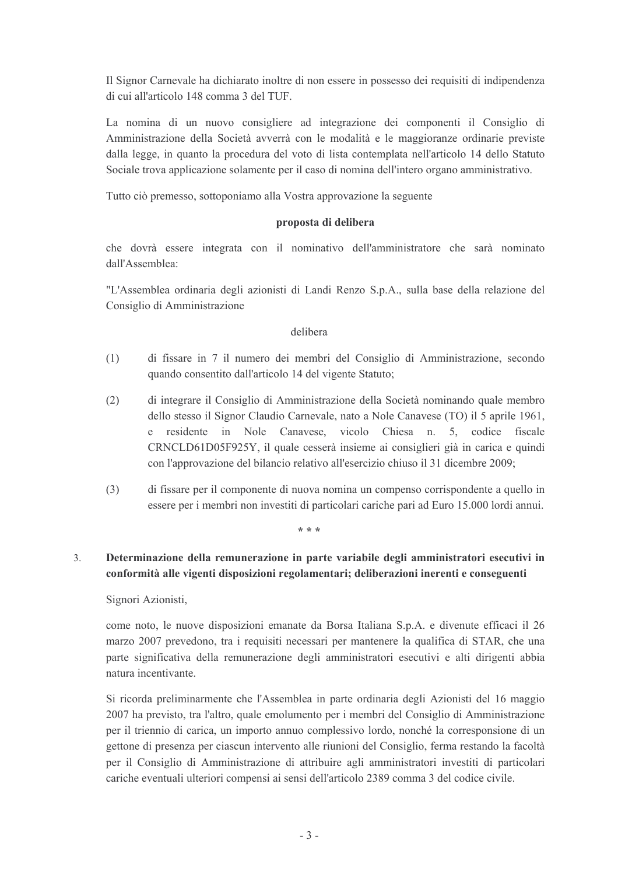Il Signor Carnevale ha dichiarato inoltre di non essere in possesso dei requisiti di indipendenza di cui all'articolo 148 comma 3 del TUF

La nomina di un nuovo consigliere ad integrazione dei componenti il Consiglio di Amministrazione della Società avverrà con le modalità e le maggioranze ordinarie previste dalla legge, in quanto la procedura del voto di lista contemplata nell'articolo 14 dello Statuto Sociale trova applicazione solamente per il caso di nomina dell'intero organo amministrativo.

Tutto ciò premesso, sottoponiamo alla Vostra approvazione la seguente

# proposta di delibera

che dovrà essere integrata con il nominativo dell'amministratore che sarà nominato dall'Assemblea:

"L'Assemblea ordinaria degli azionisti di Landi Renzo S.p.A., sulla base della relazione del Consiglio di Amministrazione

## delibera

- $(1)$ di fissare in 7 il numero dei membri del Consiglio di Amministrazione, secondo quando consentito dall'articolo 14 del vigente Statuto;
- $(2)$ di integrare il Consiglio di Amministrazione della Società nominando quale membro dello stesso il Signor Claudio Carnevale, nato a Nole Canavese (TO) il 5 aprile 1961,  $e$ residente in Nole Canavese, vicolo Chiesa n. 5, codice fiscale CRNCLD61D05F925Y, il quale cesserà insieme ai consiglieri già in carica e quindi con l'approvazione del bilancio relativo all'esercizio chiuso il 31 dicembre 2009;
- $(3)$ di fissare per il componente di nuova nomina un compenso corrispondente a quello in essere per i membri non investiti di particolari cariche pari ad Euro 15.000 lordi annui.

\* \* \*

## Determinazione della remunerazione in parte variabile degli amministratori esecutivi in  $\mathcal{E}$ conformità alle vigenti disposizioni regolamentari; deliberazioni inerenti e conseguenti

Signori Azionisti,

come noto, le nuove disposizioni emanate da Borsa Italiana S.p.A. e divenute efficaci il 26 marzo 2007 prevedono, tra i requisiti necessari per mantenere la qualifica di STAR, che una parte significativa della remunerazione degli amministratori esecutivi e alti dirigenti abbia natura incentivante

Si ricorda preliminarmente che l'Assemblea in parte ordinaria degli Azionisti del 16 maggio 2007 ha previsto, tra l'altro, quale emolumento per i membri del Consiglio di Amministrazione per il triennio di carica, un importo annuo complessivo lordo, nonché la corresponsione di un gettone di presenza per ciascun intervento alle riunioni del Consiglio, ferma restando la facoltà per il Consiglio di Amministrazione di attribuire agli amministratori investiti di particolari cariche eventuali ulteriori compensi ai sensi dell'articolo 2389 comma 3 del codice civile.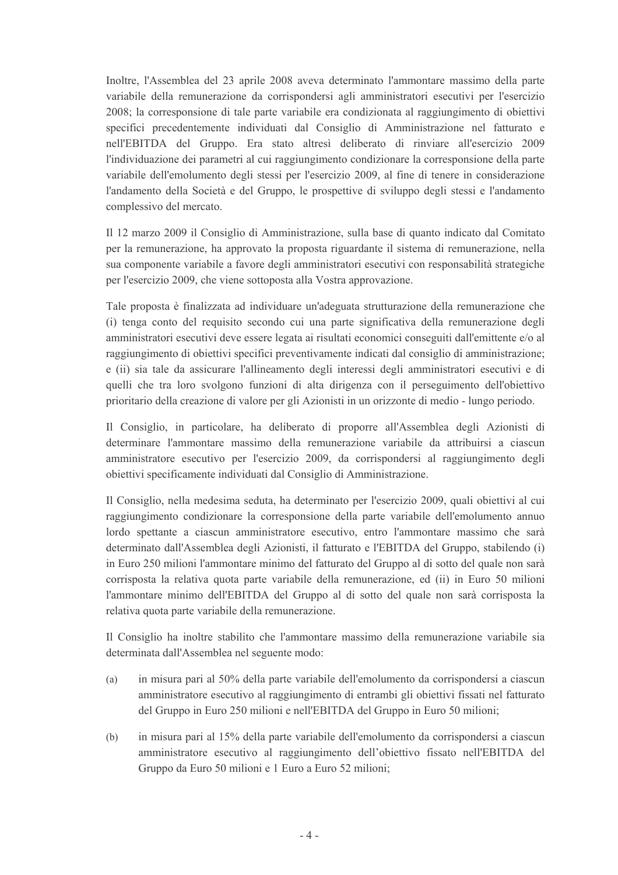Inoltre, l'Assemblea del 23 aprile 2008 aveva determinato l'ammontare massimo della parte variabile della remunerazione da corrispondersi agli amministratori esecutivi per l'esercizio 2008; la corresponsione di tale parte variabile era condizionata al raggiungimento di obiettivi specifici precedentemente individuati dal Consiglio di Amministrazione nel fatturato e nell'EBITDA del Gruppo. Era stato altresì deliberato di rinviare all'esercizio 2009 l'individuazione dei parametri al cui raggiungimento condizionare la corresponsione della parte variabile dell'emolumento degli stessi per l'esercizio 2009, al fine di tenere in considerazione l'andamento della Società e del Gruppo, le prospettive di sviluppo degli stessi e l'andamento complessivo del mercato.

Il 12 marzo 2009 il Consiglio di Amministrazione, sulla base di quanto indicato dal Comitato per la remunerazione, ha approvato la proposta riguardante il sistema di remunerazione, nella sua componente variabile a favore degli amministratori esecutivi con responsabilità strategiche per l'esercizio 2009, che viene sottoposta alla Vostra approvazione.

Tale proposta è finalizzata ad individuare un'adeguata strutturazione della remunerazione che (i) tenga conto del requisito secondo cui una parte significativa della remunerazione degli amministratori esecutivi deve essere legata ai risultati economici conseguiti dall'emittente e/o al raggiungimento di obiettivi specifici preventivamente indicati dal consiglio di amministrazione; e (ii) sia tale da assicurare l'allineamento degli interessi degli amministratori esecutivi e di quelli che tra loro svolgono funzioni di alta dirigenza con il perseguimento dell'obiettivo prioritario della creazione di valore per gli Azionisti in un orizzonte di medio - lungo periodo.

Il Consiglio, in particolare, ha deliberato di proporre all'Assemblea degli Azionisti di determinare l'ammontare massimo della remunerazione variabile da attribuirsi a ciascun amministratore esecutivo per l'esercizio 2009, da corrispondersi al raggiungimento degli obiettivi specificamente individuati dal Consiglio di Amministrazione.

Il Consiglio, nella medesima seduta, ha determinato per l'esercizio 2009, quali obiettivi al cui raggiungimento condizionare la corresponsione della parte variabile dell'emolumento annuo lordo spettante a ciascun amministratore esecutivo, entro l'ammontare massimo che sarà determinato dall'Assemblea degli Azionisti, il fatturato e l'EBITDA del Gruppo, stabilendo (i) in Euro 250 milioni l'ammontare minimo del fatturato del Gruppo al di sotto del quale non sarà corrisposta la relativa quota parte variabile della remunerazione, ed (ii) in Euro 50 milioni l'ammontare minimo dell'EBITDA del Gruppo al di sotto del quale non sarà corrisposta la relativa quota parte variabile della remunerazione.

Il Consiglio ha inoltre stabilito che l'ammontare massimo della remunerazione variabile sia determinata dall'Assemblea nel seguente modo:

- in misura pari al 50% della parte variabile dell'emolumento da corrispondersi a ciascun  $(a)$ amministratore esecutivo al raggiungimento di entrambi gli obiettivi fissati nel fatturato del Gruppo in Euro 250 milioni e nell'EBITDA del Gruppo in Euro 50 milioni;
- $(b)$ in misura pari al 15% della parte variabile dell'emolumento da corrispondersi a ciascun amministratore esecutivo al raggiungimento dell'obiettivo fissato nell'EBITDA del Gruppo da Euro 50 milioni e 1 Euro a Euro 52 milioni;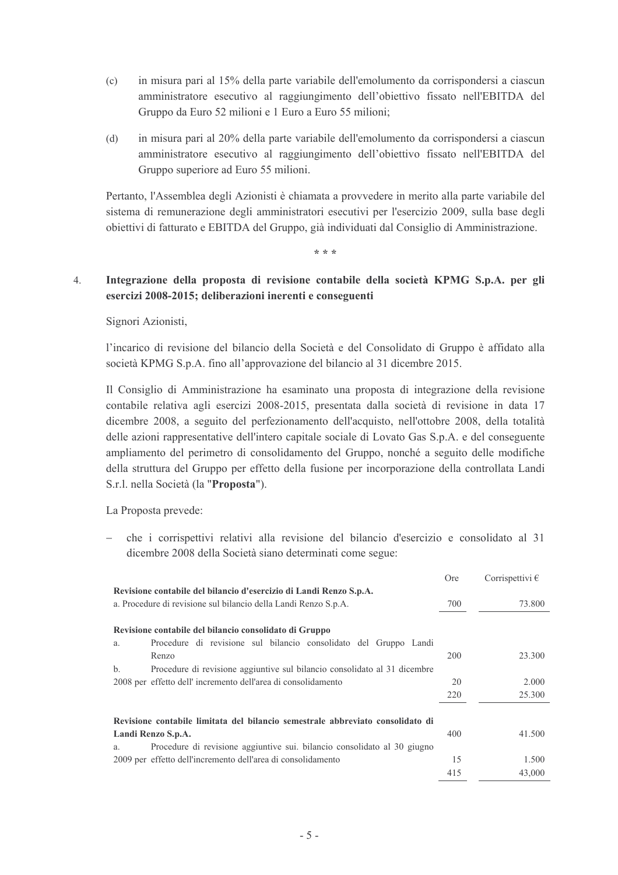- in misura pari al 15% della parte variabile dell'emolumento da corrispondersi a ciascun  $(c)$ amministratore esecutivo al raggiungimento dell'obiettivo fissato nell'EBITDA del Gruppo da Euro 52 milioni e 1 Euro a Euro 55 milioni;
- $(d)$ in misura pari al 20% della parte variabile dell'emolumento da corrispondersi a ciascun amministratore esecutivo al raggiungimento dell'obiettivo fissato nell'EBITDA del Gruppo superiore ad Euro 55 milioni.

Pertanto, l'Assemblea degli Azionisti è chiamata a provvedere in merito alla parte variabile del sistema di remunerazione degli amministratori esecutivi per l'esercizio 2009, sulla base degli obiettivi di fatturato e EBITDA del Gruppo, già individuati dal Consiglio di Amministrazione.

 $* * *$ 

#### Integrazione della proposta di revisione contabile della società KPMG S.p.A. per gli  $\overline{4}$ . esercizi 2008-2015; deliberazioni inerenti e conseguenti

# Signori Azionisti,

l'incarico di revisione del bilancio della Società e del Consolidato di Gruppo è affidato alla società KPMG S.p.A. fino all'approvazione del bilancio al 31 dicembre 2015.

Il Consiglio di Amministrazione ha esaminato una proposta di integrazione della revisione contabile relativa agli esercizi 2008-2015, presentata dalla società di revisione in data 17 dicembre 2008, a seguito del perfezionamento dell'acquisto, nell'ottobre 2008, della totalità delle azioni rappresentative dell'intero capitale sociale di Lovato Gas S.p.A. e del conseguente ampliamento del perimetro di consolidamento del Gruppo, nonché a seguito delle modifiche della struttura del Gruppo per effetto della fusione per incorporazione della controllata Landi S.r.l. nella Società (la "Proposta").

La Proposta prevede:

che i corrispettivi relativi alla revisione del bilancio d'esercizio e consolidato al 31 dicembre 2008 della Società siano determinati come segue:

|                                                                                 | <b>Ore</b> | Corrispettivi $\epsilon$ |
|---------------------------------------------------------------------------------|------------|--------------------------|
| Revisione contabile del bilancio d'esercizio di Landi Renzo S.p.A.              |            |                          |
| a. Procedure di revisione sul bilancio della Landi Renzo S.p.A.                 | 700        | 73.800                   |
|                                                                                 |            |                          |
| Revisione contabile del bilancio consolidato di Gruppo                          |            |                          |
| Procedure di revisione sul bilancio consolidato del Gruppo Landi<br>a.          |            |                          |
| Renzo                                                                           | 200        | 23.300                   |
| Procedure di revisione aggiuntive sul bilancio consolidato al 31 dicembre<br>b. |            |                          |
| 2008 per effetto dell'incremento dell'area di consolidamento                    | 20         | 2.000                    |
|                                                                                 | 220        | 25.300                   |
|                                                                                 |            |                          |
| Revisione contabile limitata del bilancio semestrale abbreviato consolidato di  |            |                          |
| Landi Renzo S.p.A.                                                              | 400        | 41.500                   |
| Procedure di revisione aggiuntive sui. bilancio consolidato al 30 giugno<br>a.  |            |                          |
| 2009 per effetto dell'incremento dell'area di consolidamento                    | 15         | 1.500                    |
|                                                                                 | 415        | 43,000                   |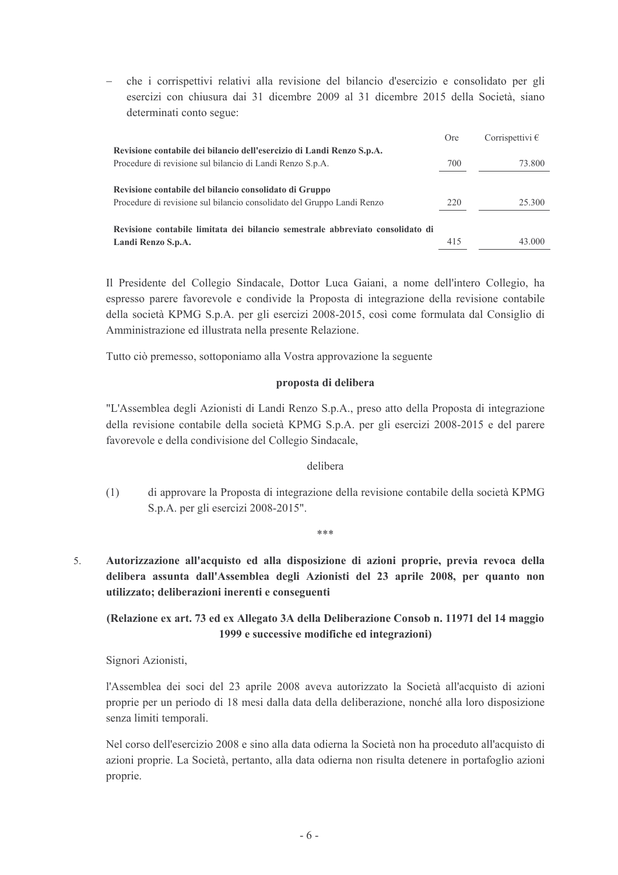che i corrispettivi relativi alla revisione del bilancio d'esercizio e consolidato per gli esercizi con chiusura dai 31 dicembre 2009 al 31 dicembre 2015 della Società, siano determinati conto segue:

|                                                                                | <b>Ore</b> | Corrispettivi $\epsilon$ |
|--------------------------------------------------------------------------------|------------|--------------------------|
| Revisione contabile dei bilancio dell'esercizio di Landi Renzo S.p.A.          |            |                          |
| Procedure di revisione sul bilancio di Landi Renzo S.p.A.                      | 700        | 73.800                   |
|                                                                                |            |                          |
| Revisione contabile del bilancio consolidato di Gruppo                         |            |                          |
| Procedure di revisione sul bilancio consolidato del Gruppo Landi Renzo         | 220        | 25.300                   |
|                                                                                |            |                          |
| Revisione contabile limitata dei bilancio semestrale abbreviato consolidato di |            |                          |
| Landi Renzo S.p.A.                                                             | 415        | 43.000                   |

Il Presidente del Collegio Sindacale, Dottor Luca Gaiani, a nome dell'intero Collegio, ha espresso parere favorevole e condivide la Proposta di integrazione della revisione contabile della società KPMG S.p.A. per gli esercizi 2008-2015, così come formulata dal Consiglio di Amministrazione ed illustrata nella presente Relazione.

Tutto ciò premesso, sottoponiamo alla Vostra approvazione la seguente

## proposta di delibera

"L'Assemblea degli Azionisti di Landi Renzo S.p.A., preso atto della Proposta di integrazione della revisione contabile della società KPMG S.p.A. per gli esercizi 2008-2015 e del parere favorevole e della condivisione del Collegio Sindacale,

## delibera

di approvare la Proposta di integrazione della revisione contabile della società KPMG  $(1)$ S.p.A. per gli esercizi 2008-2015".

ر<br>ماہ ماہ ماہ

Autorizzazione all'acquisto ed alla disposizione di azioni proprie, previa revoca della delibera assunta dall'Assemblea degli Azionisti del 23 aprile 2008, per quanto non

# (Relazione ex art. 73 ed ex Allegato 3A della Deliberazione Consob n. 11971 del 14 maggio 1999 e successive modifiche ed integrazioni)

Signori Azionisti,

utilizzato; deliberazioni inerenti e conseguenti

 $\overline{5}$ 

l'Assemblea dei soci del 23 aprile 2008 aveva autorizzato la Società all'acquisto di azioni proprie per un periodo di 18 mesi dalla data della deliberazione, nonché alla loro disposizione senza limiti temporali.

Nel corso dell'esercizio 2008 e sino alla data odierna la Società non ha proceduto all'acquisto di azioni proprie. La Società, pertanto, alla data odierna non risulta detenere in portafoglio azioni proprie.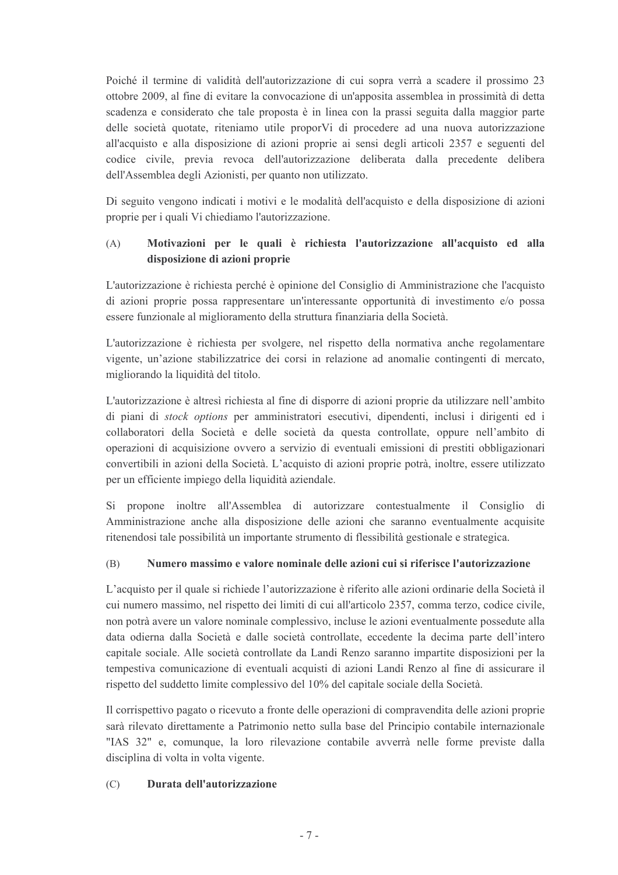Poiché il termine di validità dell'autorizzazione di cui sopra verrà a scadere il prossimo 23 ottobre 2009, al fine di evitare la convocazione di un'apposita assemblea in prossimità di detta scadenza e considerato che tale proposta è in linea con la prassi seguita dalla maggior parte delle società quotate, riteniamo utile propor Vi di procedere ad una nuova autorizzazione all'acquisto e alla disposizione di azioni proprie ai sensi degli articoli 2357 e seguenti del codice civile, previa revoca dell'autorizzazione deliberata dalla precedente delibera dell'Assemblea degli Azionisti, per quanto non utilizzato.

Di seguito vengono indicati i motivi e le modalità dell'acquisto e della disposizione di azioni proprie per i quali Vi chiediamo l'autorizzazione.

### $(A)$ Motivazioni per le quali è richiesta l'autorizzazione all'acquisto ed alla disposizione di azioni proprie

L'autorizzazione è richiesta perché è opinione del Consiglio di Amministrazione che l'acquisto di azioni proprie possa rappresentare un'interessante opportunità di investimento e/o possa essere funzionale al miglioramento della struttura finanziaria della Società.

L'autorizzazione è richiesta per svolgere, nel rispetto della normativa anche regolamentare vigente, un'azione stabilizzatrice dei corsi in relazione ad anomalie contingenti di mercato, migliorando la liquidità del titolo.

L'autorizzazione è altresì richiesta al fine di disporre di azioni proprie da utilizzare nell'ambito di piani di *stock options* per amministratori esecutivi, dipendenti, inclusi i dirigenti ed i collaboratori della Società e delle società da questa controllate, oppure nell'ambito di operazioni di acquisizione ovvero a servizio di eventuali emissioni di prestiti obbligazionari convertibili in azioni della Società. L'acquisto di azioni proprie potrà, inoltre, essere utilizzato per un efficiente impiego della liquidità aziendale.

Si propone inoltre all'Assemblea di autorizzare contestualmente il Consiglio di Amministrazione anche alla disposizione delle azioni che saranno eventualmente acquisite ritenendosi tale possibilità un importante strumento di flessibilità gestionale e strategica.

#### Numero massimo e valore nominale delle azioni cui si riferisce l'autorizzazione (B)

L'acquisto per il quale si richiede l'autorizzazione è riferito alle azioni ordinarie della Società il cui numero massimo, nel rispetto dei limiti di cui all'articolo 2357, comma terzo, codice civile, non potrà avere un valore nominale complessivo, incluse le azioni eventualmente possedute alla data odierna dalla Società e dalle società controllate, eccedente la decima parte dell'intero capitale sociale. Alle società controllate da Landi Renzo saranno impartite disposizioni per la tempestiva comunicazione di eventuali acquisti di azioni Landi Renzo al fine di assicurare il rispetto del suddetto limite complessivo del 10% del capitale sociale della Società.

Il corrispettivo pagato o ricevuto a fronte delle operazioni di compravendita delle azioni proprie sarà rilevato direttamente a Patrimonio netto sulla base del Principio contabile internazionale "IAS 32" e, comunque, la loro rilevazione contabile avverrà nelle forme previste dalla disciplina di volta in volta vigente.

#### Durata dell'autorizzazione  $(C)$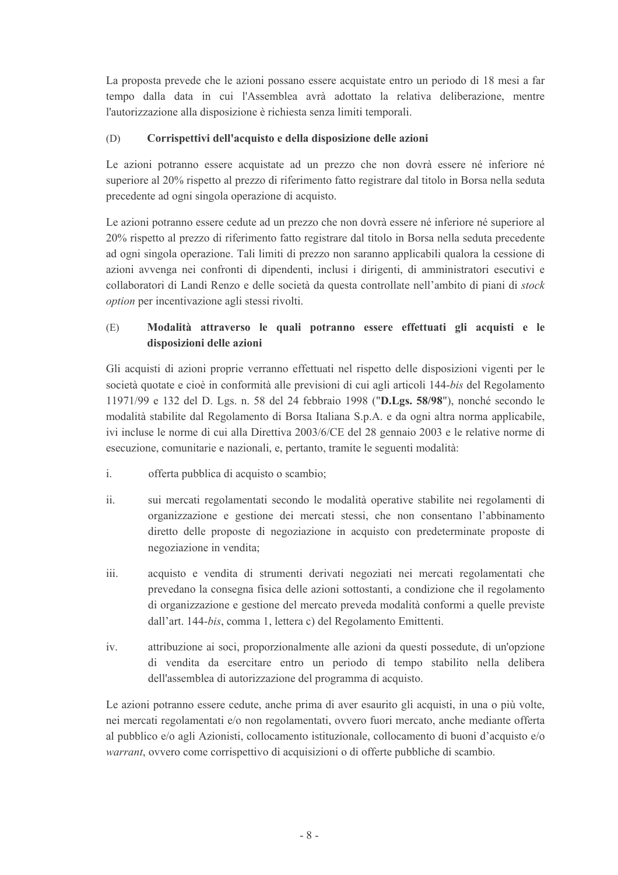La proposta prevede che le azioni possano essere acquistate entro un periodo di 18 mesi a far tempo dalla data in cui l'Assemblea avrà adottato la relativa deliberazione, mentre l'autorizzazione alla disposizione è richiesta senza limiti temporali.

#### Corrispettivi dell'acquisto e della disposizione delle azioni (D)

Le azioni potranno essere acquistate ad un prezzo che non dovrà essere né inferiore né superiore al 20% rispetto al prezzo di riferimento fatto registrare dal titolo in Borsa nella seduta precedente ad ogni singola operazione di acquisto.

Le azioni potranno essere cedute ad un prezzo che non dovrà essere né inferiore né superiore al 20% rispetto al prezzo di riferimento fatto registrare dal titolo in Borsa nella seduta precedente ad ogni singola operazione. Tali limiti di prezzo non saranno applicabili qualora la cessione di azioni avvenga nei confronti di dipendenti, inclusi i dirigenti, di amministratori esecutivi e collaboratori di Landi Renzo e delle società da questa controllate nell'ambito di piani di stock option per incentivazione agli stessi rivolti.

## $(E)$ Modalità attraverso le quali potranno essere effettuati gli acquisti e le disposizioni delle azioni

Gli acquisti di azioni proprie verranno effettuati nel rispetto delle disposizioni vigenti per le società quotate e cioè in conformità alle previsioni di cui agli articoli 144-bis del Regolamento 11971/99 e 132 del D. Lgs. n. 58 del 24 febbraio 1998 ("D.Lgs. 58/98"), nonché secondo le modalità stabilite dal Regolamento di Borsa Italiana S.p.A. e da ogni altra norma applicabile, ivi incluse le norme di cui alla Direttiva 2003/6/CE del 28 gennaio 2003 e le relative norme di esecuzione, comunitarie e nazionali, e, pertanto, tramite le seguenti modalità:

- $\mathbf{i}$ offerta pubblica di acquisto o scambio;
- $ii.$ sui mercati regolamentati secondo le modalità operative stabilite nei regolamenti di organizzazione e gestione dei mercati stessi, che non consentano l'abbinamento diretto delle proposte di negoziazione in acquisto con predeterminate proposte di negoziazione in vendita;
- iii. acquisto e vendita di strumenti derivati negoziati nei mercati regolamentati che prevedano la consegna física delle azioni sottostanti, a condizione che il regolamento di organizzazione e gestione del mercato preveda modalità conformi a quelle previste dall'art. 144-bis, comma 1, lettera c) del Regolamento Emittenti.
- $iv$ attribuzione ai soci, proporzionalmente alle azioni da questi possedute, di un'opzione di vendita da esercitare entro un periodo di tempo stabilito nella delibera dell'assemblea di autorizzazione del programma di acquisto.

Le azioni potranno essere cedute, anche prima di aver esaurito gli acquisti, in una o più volte, nei mercati regolamentati e/o non regolamentati, ovvero fuori mercato, anche mediante offerta al pubblico e/o agli Azionisti, collocamento istituzionale, collocamento di buoni d'acquisto e/o warrant, ovvero come corrispettivo di acquisizioni o di offerte pubbliche di scambio.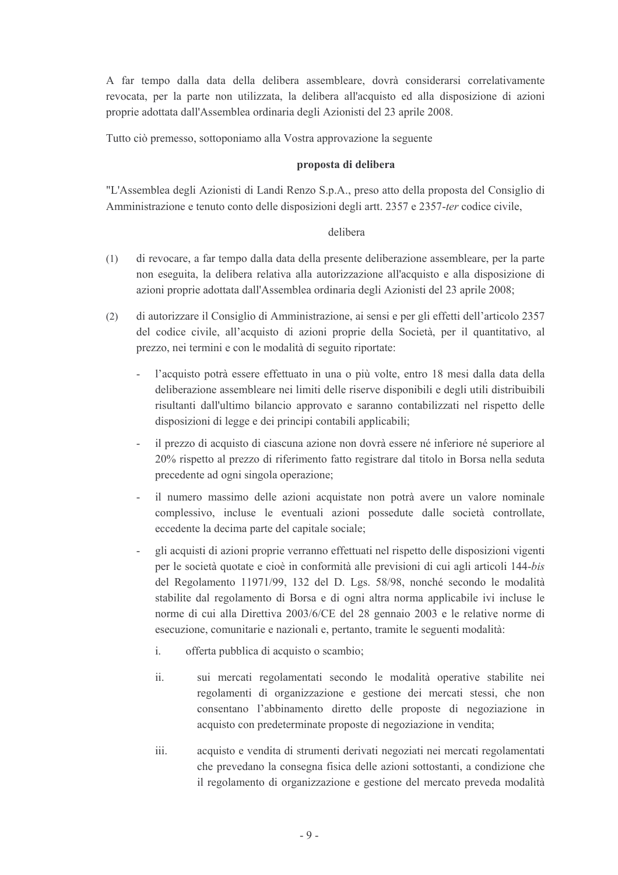A far tempo dalla data della delibera assembleare, dovrà considerarsi correlativamente revocata, per la parte non utilizzata, la delibera all'acquisto ed alla disposizione di azioni proprie adottata dall'Assemblea ordinaria degli Azionisti del 23 aprile 2008.

Tutto ciò premesso, sottoponiamo alla Vostra approvazione la seguente

## proposta di delibera

"L'Assemblea degli Azionisti di Landi Renzo S.p.A., preso atto della proposta del Consiglio di Amministrazione e tenuto conto delle disposizioni degli artt. 2357 e 2357-ter codice civile,

# delibera

- $(1)$ di revocare, a far tempo dalla data della presente deliberazione assembleare, per la parte non eseguita, la delibera relativa alla autorizzazione all'acquisto e alla disposizione di azioni proprie adottata dall'Assemblea ordinaria degli Azionisti del 23 aprile 2008;
- di autorizzare il Consiglio di Amministrazione, ai sensi e per gli effetti dell'articolo 2357  $(2)$ del codice civile, all'acquisto di azioni proprie della Società, per il quantitativo, al prezzo, nei termini e con le modalità di seguito riportate:
	- l'acquisto potrà essere effettuato in una o più volte, entro 18 mesi dalla data della deliberazione assembleare nei limiti delle riserve disponibili e degli utili distribuibili risultanti dall'ultimo bilancio approvato e saranno contabilizzati nel rispetto delle disposizioni di legge e dei principi contabili applicabili;
	- il prezzo di acquisto di ciascuna azione non dovrà essere né inferiore né superiore al 20% rispetto al prezzo di riferimento fatto registrare dal titolo in Borsa nella seduta precedente ad ogni singola operazione:
	- il numero massimo delle azioni acquistate non potrà avere un valore nominale complessivo, incluse le eventuali azioni possedute dalle società controllate, eccedente la decima parte del capitale sociale;
	- gli acquisti di azioni proprie verranno effettuati nel rispetto delle disposizioni vigenti per le società quotate e cioè in conformità alle previsioni di cui agli articoli 144-bis del Regolamento 11971/99, 132 del D. Lgs. 58/98, nonché secondo le modalità stabilite dal regolamento di Borsa e di ogni altra norma applicabile ivi incluse le norme di cui alla Direttiva 2003/6/CE del 28 gennaio 2003 e le relative norme di esecuzione, comunitarie e nazionali e, pertanto, tramite le seguenti modalità:
		- $\mathbf{i}$ . offerta pubblica di acquisto o scambio;
		- $\ddot{\mathbf{i}}$ sui mercati regolamentati secondo le modalità operative stabilite nei regolamenti di organizzazione e gestione dei mercati stessi, che non consentano l'abbinamento diretto delle proposte di negoziazione in acquisto con predeterminate proposte di negoziazione in vendita;
		- iii. acquisto e vendita di strumenti derivati negoziati nei mercati regolamentati che prevedano la consegna fisica delle azioni sottostanti, a condizione che il regolamento di organizzazione e gestione del mercato preveda modalità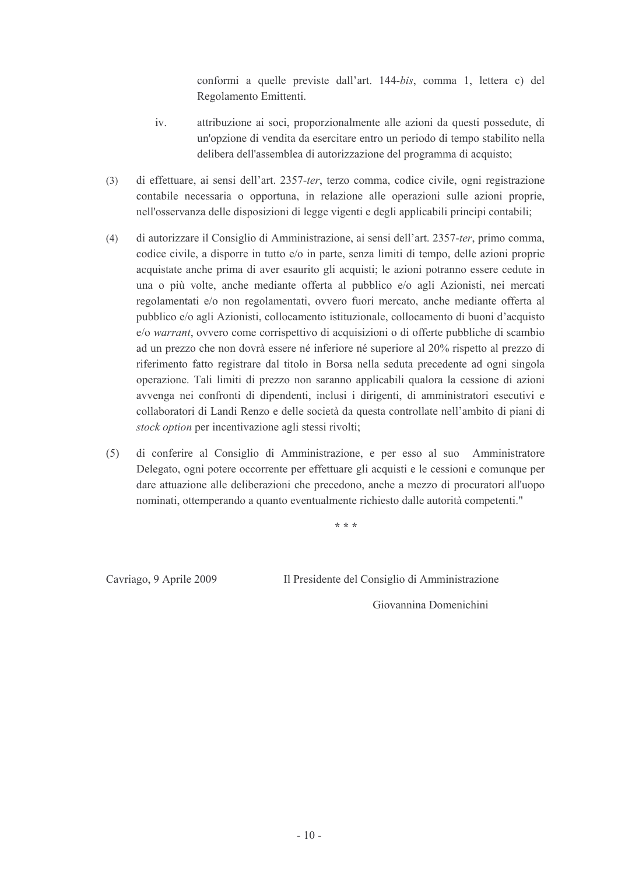conformi a quelle previste dall'art. 144-bis, comma 1, lettera c) del Regolamento Emittenti.

- attribuzione ai soci, proporzionalmente alle azioni da questi possedute, di  $iv_{i}$ un'opzione di vendita da esercitare entro un periodo di tempo stabilito nella delibera dell'assemblea di autorizzazione del programma di acquisto;
- di effettuare, ai sensi dell'art. 2357-ter, terzo comma, codice civile, ogni registrazione  $(3)$ contabile necessaria o opportuna, in relazione alle operazioni sulle azioni proprie, nell'osservanza delle disposizioni di legge vigenti e degli applicabili principi contabili:
- $(4)$ di autorizzare il Consiglio di Amministrazione, ai sensi dell'art. 2357-ter, primo comma, codice civile, a disporre in tutto e/o in parte, senza limiti di tempo, delle azioni proprie acquistate anche prima di aver esaurito gli acquisti; le azioni potranno essere cedute in una o più volte, anche mediante offerta al pubblico e/o agli Azionisti, nei mercati regolamentati e/o non regolamentati, ovvero fuori mercato, anche mediante offerta al pubblico e/o agli Azionisti, collocamento istituzionale, collocamento di buoni d'acquisto e/o warrant, ovvero come corrispettivo di acquisizioni o di offerte pubbliche di scambio ad un prezzo che non dovrà essere né inferiore né superiore al 20% rispetto al prezzo di riferimento fatto registrare dal titolo in Borsa nella seduta precedente ad ogni singola operazione. Tali limiti di prezzo non saranno applicabili qualora la cessione di azioni avvenga nei confronti di dipendenti, inclusi i dirigenti, di amministratori esecutivi e collaboratori di Landi Renzo e delle società da questa controllate nell'ambito di piani di stock option per incentivazione agli stessi rivolti;
- $(5)$ di conferire al Consiglio di Amministrazione, e per esso al suo Amministratore Delegato, ogni potere occorrente per effettuare gli acquisti e le cessioni e comunque per dare attuazione alle deliberazioni che precedono, anche a mezzo di procuratori all'uopo nominati, ottemperando a quanto eventualmente richiesto dalle autorità competenti."

\* \* \*

Cavriago, 9 Aprile 2009

Il Presidente del Consiglio di Amministrazione

Giovannina Domenichini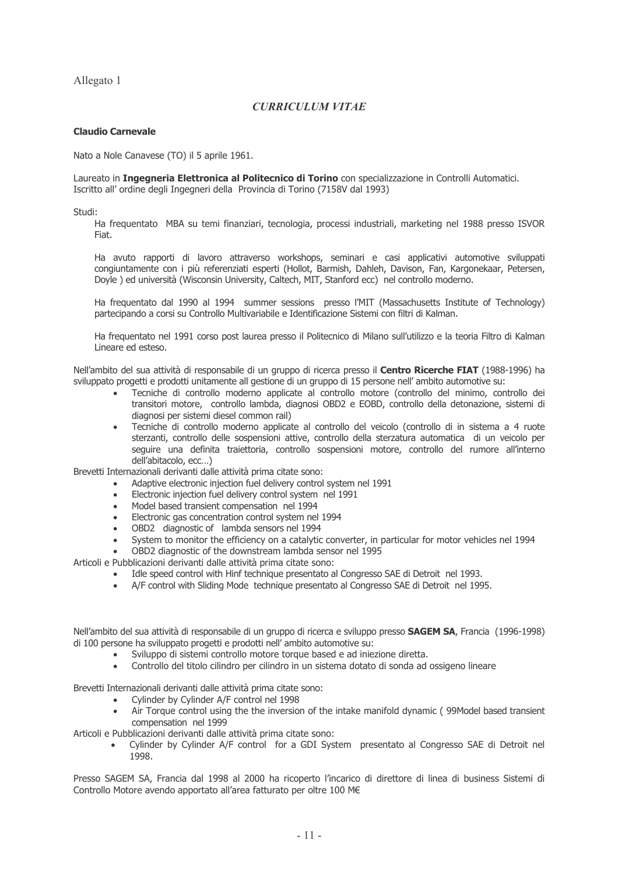Allegato 1

## **CURRICULUM VITAE**

## **Claudio Carnevale**

Nato a Nole Canavese (TO) il 5 aprile 1961.

Laureato in **Ingegneria Elettronica al Politecnico di Torino** con specializzazione in Controlli Automatici. Iscritto all' ordine degli Ingegneri della Provincia di Torino (7158V dal 1993)

Studi:

Ha frequentato MBA su temi finanziari, tecnologia, processi industriali, marketing nel 1988 presso ISVOR Fiat.

Ha avuto rapporti di lavoro attraverso workshops, seminari e casi applicativi automotive sviluppati congiuntamente con i più referenziati esperti (Hollot, Barmish, Dahleh, Davison, Fan, Kargonekaar, Petersen, Dovie) ed università (Wisconsin University, Caltech, MIT, Stanford ecc) nel controllo moderno.

Ha frequentato dal 1990 al 1994 summer sessions presso l'MIT (Massachusetts Institute of Technology) partecipando a corsi su Controllo Multivariabile e Identificazione Sistemi con filtri di Kalman.

Ha frequentato nel 1991 corso post laurea presso il Politecnico di Milano sull'utilizzo e la teoria Filtro di Kalman Lineare ed esteso.

Nell'ambito del sua attività di responsabile di un gruppo di ricerca presso il Centro Ricerche FIAT (1988-1996) ha sviluppato progetti e prodotti unitamente all gestione di un gruppo di 15 persone nell' ambito automotive su:

- Tecniche di controllo moderno applicate al controllo motore (controllo del minimo, controllo dei transitori motore, controllo lambda, diagnosi OBD2 e EOBD, controllo della detonazione, sistemi di diagnosi per sistemi diesel common rail)
- Tecniche di controllo moderno applicate al controllo del veicolo (controllo di in sistema a 4 ruote sterzanti, controllo delle sospensioni attive, controllo della sterzatura automatica di un veicolo per seguire una definita traiettoria, controllo sospensioni motore, controllo del rumore all'interno dell'abitacolo, ecc...)

Brevetti Internazionali derivanti dalle attività prima citate sono:

- Adaptive electronic injection fuel delivery control system nel 1991
- Electronic injection fuel delivery control system nel 1991
- Model based transient compensation nel 1994
- Electronic gas concentration control system nel 1994
- OBD2 diagnostic of lambda sensors nel 1994
- System to monitor the efficiency on a catalytic converter, in particular for motor vehicles nel 1994
- OBD2 diagnostic of the downstream lambda sensor nel 1995
- Articoli e Pubblicazioni derivanti dalle attività prima citate sono:
	- Idle speed control with Hinf technique presentato al Congresso SAE di Detroit nel 1993.
	- A/F control with Sliding Mode technique presentato al Congresso SAE di Detroit nel 1995.

Nell'ambito del sua attività di responsabile di un gruppo di ricerca e sviluppo presso SAGEM SA, Francia (1996-1998) di 100 persone ha sviluppato progetti e prodotti nell' ambito automotive su:

- · Sviluppo di sistemi controllo motore torque based e ad iniezione diretta.
	- Controllo del titolo cilindro per cilindro in un sistema dotato di sonda ad ossigeno lineare

Brevetti Internazionali derivanti dalle attività prima citate sono:

- Cylinder by Cylinder A/F control nel 1998
- Air Torque control using the the inversion of the intake manifold dynamic (99Model based transient compensation nel 1999

Articoli e Pubblicazioni derivanti dalle attività prima citate sono:

• Cylinder by Cylinder A/F control for a GDI System presentato al Congresso SAE di Detroit nel 1998.

Presso SAGEM SA, Francia dal 1998 al 2000 ha ricoperto l'incarico di direttore di linea di business Sistemi di Controllo Motore avendo apportato all'area fatturato per oltre 100 M€